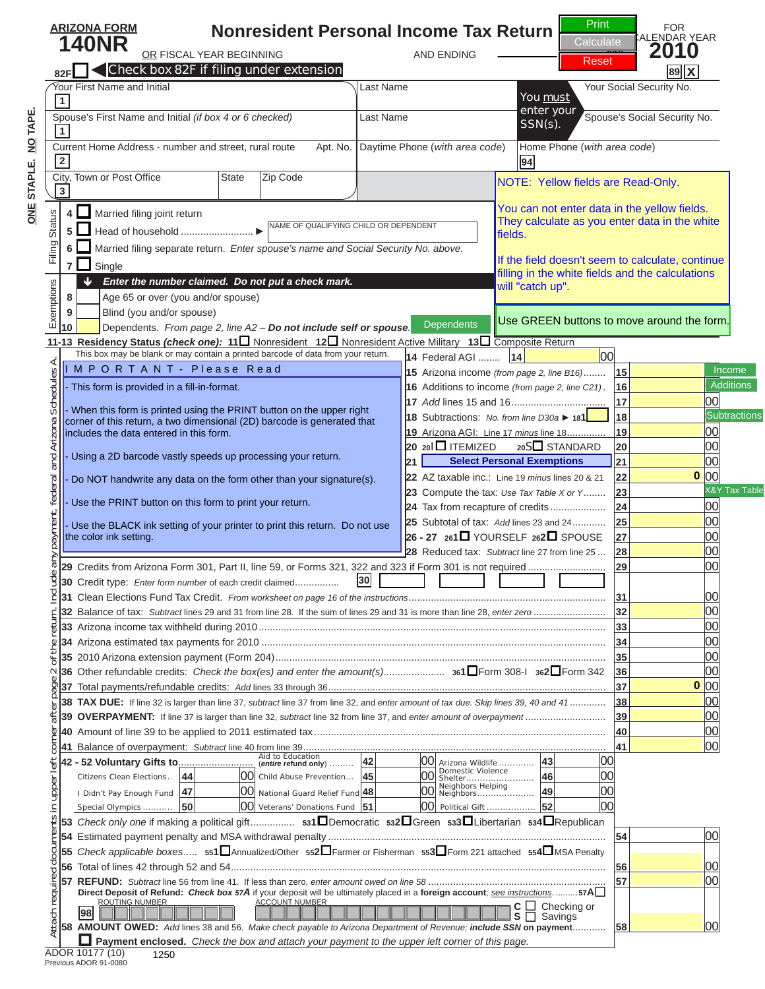# **ARIZONA FORMA FORMA FORMA FORMA PERSONAL INCOME TRANSPORT PERSONAL INCOME TRANSPORT PERSONAL INCOME TRANSPORT PERSONAL INCOME TRANSPORT PERSONAL INCOME TRANSPORT PERSONAL INCOME TRANSPORT PERSONAL INCOME TRANSPORT PERSONA C C C E Reset C Reset C Reset C Reset Reset C**



## N O T I C E City, Town or Post Offi ce State Zip Code

NOTE: Yellow fields are Read-Only.

You can not enter data in the yellow fields. They calculate as you enter data in the white fields.

### **88** *Enter the number claimed. Do not put a check mark.* Dependents **D**Use GREEN buttons to move around the form. **8** Age 65 or over (you and/or spouse)  $\mathbf{f}$   $\mathbf{D}$   $\mathbf{D}$ **10** Dependents. *From page 2, line A2 – Do not include self or spouse.* **this is NOT a complete PUSE GREEN buttons to move around the 6** Married fi ling separate return. *Enter spouse's name and Social Security No. above.* TH V If you are viewing this stream to calculate, continue in the valuations If the field doesn't seem to calculate, continue filling in the white fields and the calculations will "catch up".

**<sup>5</sup>** Head of household ..........................*►* NAME OF QUALIFYING CHILD OR DEPENDENT

- This form is provided in a fill-in-format.

 **4** Married fi ling joint return

- When this form is printed using the PRINT button on the upper right corner of this return, a two dimensional (2D) barcode is generated that includes the data entered in this form.

- Using a 2D barcode vastly speeds up processing your return.

- Do NOT handwrite any data on the form other than your signature(s).

- Use the PRINT button on this form to print your return.

- Use the BLACK ink setting of your printer to print this return. Do not use the color ink setting.



### **29** Credits from Arizona Form 301, Part II, line 59, or Forms 321, 322 and 323 if Form 301 is not required ............................ **29** 00 **30** Credit type: *Enter form number* of each credit claimed ................ **30** click on the PRINT button.

(*entire* **refund only**) ......... **42** 00 Arizona Wildlife ............. **43** 00 Citizens Clean Elections .. **<sup>44</sup>** 00 Child Abuse Prevention ... **<sup>45</sup>** 00 Domestic Violence Shelter ......................... **46** 00 I Didn't Pay Enough Fund **<sup>47</sup>** 00 National Guard Relief Fund **<sup>48</sup>** 00 Neighbors Helping Neighbors ..................... **49** 00 **35** 2010 Arizona extension payment (Form 204) ....................................................................................................................... **35** 00 **36** Other refundable credits: *Check the box(es) and enter the amount(s)* ...................... **361**Form 308-I **362**Form 342 **36** 00 **37** Total payments/refundable credits: *Add* lines 33 through 36 .................................................................................................... **37** 00 Clicking the PRINT button **39 OVERPAYMENT:** If line 37 is larger than line 32, *subtract* line 32 from line 37, and *enter amount of overpayment* ............................. **39** 00 **40** Amount of line 39 to be applied to 2011 estimated tax ......................................................................................................... **40** 00 will perform the calculations **53** *Check only one* if making a political gift ................ **531**Democratic **532**Green **533**Libertarian **534**Republican **54** Estimated payment penalty and MSA withdrawal penalty .................................................................................................... **54** 00 update the barcode. **56** Total of lines 42 through 52 and 54 ....................................................................................................................................... **56** 00 **Facebook the box and attach you are viewing this page.**<br> **This is NOT a correspondent to the upper left corner of the upper left corner of the upper left corner of the upper left corner of the barrows are update, the barr** one last time and **0**

**58 AMOUNT OWED:** *Add* lines 38 and 56. *Make check payable to Arizona Department of Revenue; include SSN* **on payment** ............ **58** 00

 $\Gamma$  T  $\Gamma$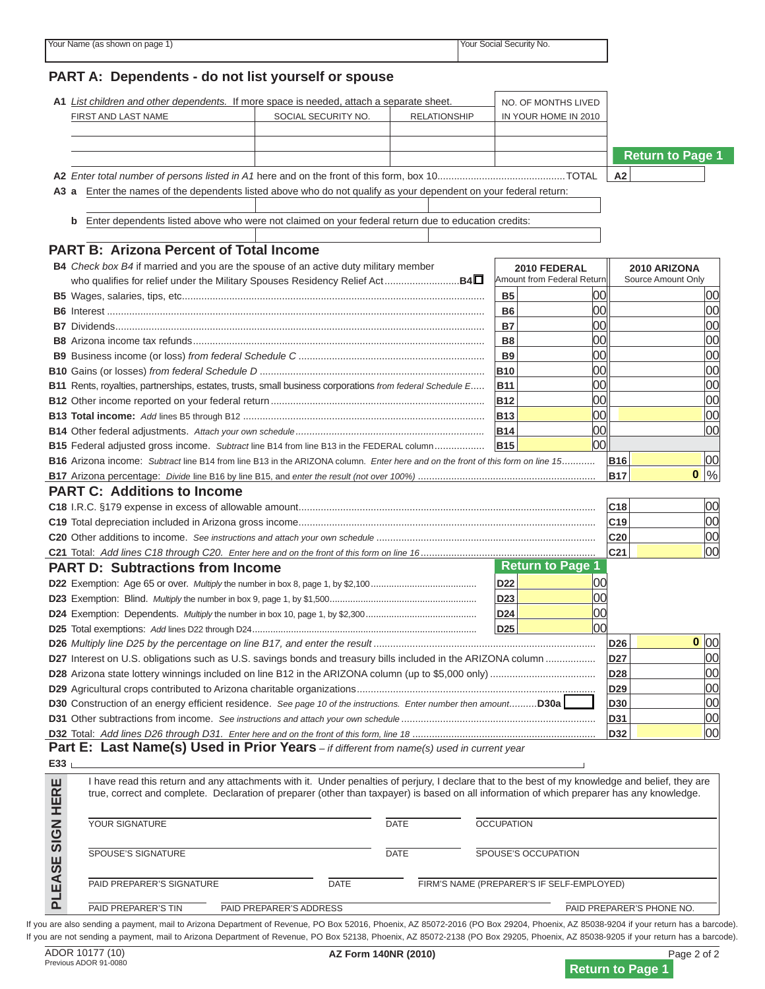# **PART A: Dependents - do not list yourself or spouse** N O T I C E **A2** *Enter total number of persons listed in A1* here and on the front of this form, box 10..............................................TOTAL **A2 A3 a** Enter the names of the dependents listed above who do not qualify as your dependent on your federal return: N O T I C E



**0**

**0**

2020 F Amount from Federal Return **2010 ARIZONA**  $\blacksquare$ **B4** *Check box B4* if married and you are the spouse of an active duty military member who qualifi es for relief under the Military Spouses Residency Relief Act ...........................**B4** If you are viewing this message, **B6** Interest ........................................................................................................................................ **B6** 00 00 **B** This is NITTHE 2 COMMETA PATHER this is NOT a complete return. **B9** Business income (or loss) *from federal Schedule C* ................................................................... **B9** 00 00

**C19** Total depreciation included in Arizona gross income ........................................................................................................... **C19** 00 **C20** Other additions to income. *See instructions and attach your own schedule* ............................................................................... **C20** 00 To print a completed return: **PART D: Subtractions from Income D22** Exemption: Age 65 or over. *Multiply* the number in box 8, page 1, by \$2,100 ......................................... **D22** 00 **Click on the PRINT button fo Page 1** 

**D26** *Multiply line D25 by the percentage on line B17, and enter the result* ................................................................................ **D26** 00

**B17** Arizona percentage: *Divide* line B16 by line B15, and *enter the result (not over 100%)* ................................................................ **B17** %

I have read this return and any attachments with it. Under penalties of perjury, I declare that to the best of my knowledge and belief, they are true, correct and complete. Declaration of preparer (other than taxpayer) is based on all information of which preparer has any knowledge. one last time and update the barcode. PAID PREPARER'S SIGNATURE DATE FIRM'S NAME (PREPARER'S IF SELF-EMPLOYED) **D28** Arizona state lottery winnings included on line B12 in the ARIZONA column (up to \$5,000 only) ...................................... **D28** 00 **D29** Agricultural crops contributed to Arizona charitable organizations ...................................................................................... **D29** 00 Clicking the PRINT button **D31** Other subtractions from income. *See instructions and attach your own schedule* ...................................................................... **D31** 00 **D32** Total: *Add lines D26 through D31. Enter here and on the front of this form, line 18* .................................................................. **D32** 00 **Part E: Last Name(s) Used in Prior Years** *– if different from name(s) used in current year* will perform the calculations